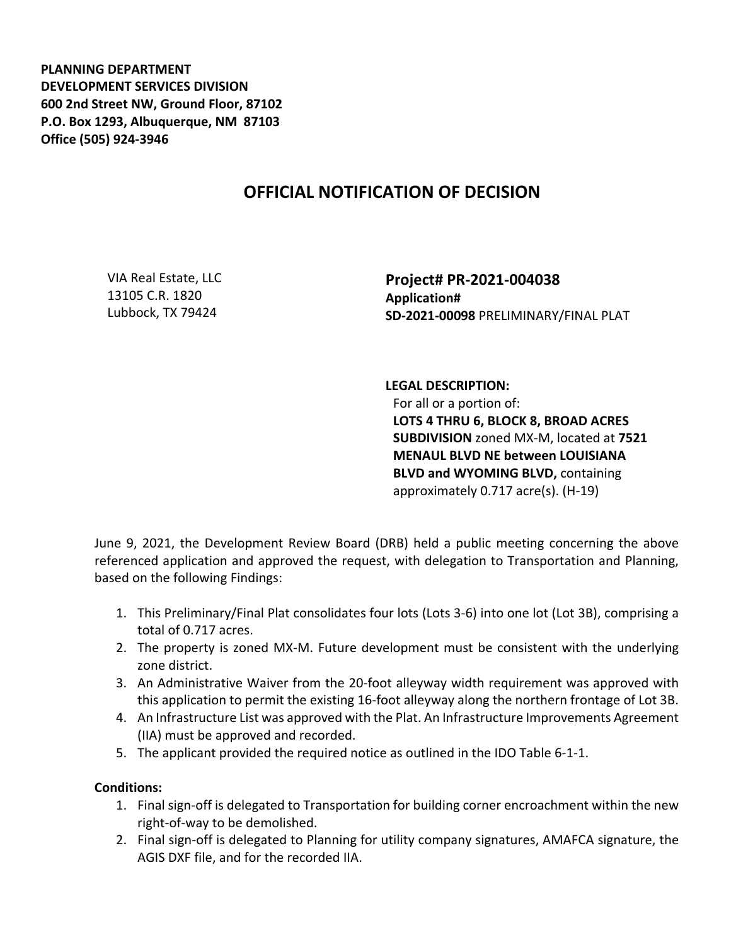**PLANNING DEPARTMENT DEVELOPMENT SERVICES DIVISION 600 2nd Street NW, Ground Floor, 87102 P.O. Box 1293, Albuquerque, NM 87103 Office (505) 924-3946** 

## **OFFICIAL NOTIFICATION OF DECISION**

VIA Real Estate, LLC 13105 C.R. 1820 Lubbock, TX 79424

**Project# PR-2021-004038 Application# SD-2021-00098** PRELIMINARY/FINAL PLAT

## **LEGAL DESCRIPTION:**

For all or a portion of: **LOTS 4 THRU 6, BLOCK 8, BROAD ACRES SUBDIVISION** zoned MX-M, located at **7521 MENAUL BLVD NE between LOUISIANA BLVD and WYOMING BLVD,** containing approximately 0.717 acre(s). (H-19)

June 9, 2021, the Development Review Board (DRB) held a public meeting concerning the above referenced application and approved the request, with delegation to Transportation and Planning, based on the following Findings:

- 1. This Preliminary/Final Plat consolidates four lots (Lots 3-6) into one lot (Lot 3B), comprising a total of 0.717 acres.
- 2. The property is zoned MX-M. Future development must be consistent with the underlying zone district.
- 3. An Administrative Waiver from the 20-foot alleyway width requirement was approved with this application to permit the existing 16-foot alleyway along the northern frontage of Lot 3B.
- 4. An Infrastructure List was approved with the Plat. An Infrastructure Improvements Agreement (IIA) must be approved and recorded.
- 5. The applicant provided the required notice as outlined in the IDO Table 6-1-1.

## **Conditions:**

- 1. Final sign-off is delegated to Transportation for building corner encroachment within the new right-of-way to be demolished.
- 2. Final sign-off is delegated to Planning for utility company signatures, AMAFCA signature, the AGIS DXF file, and for the recorded IIA.